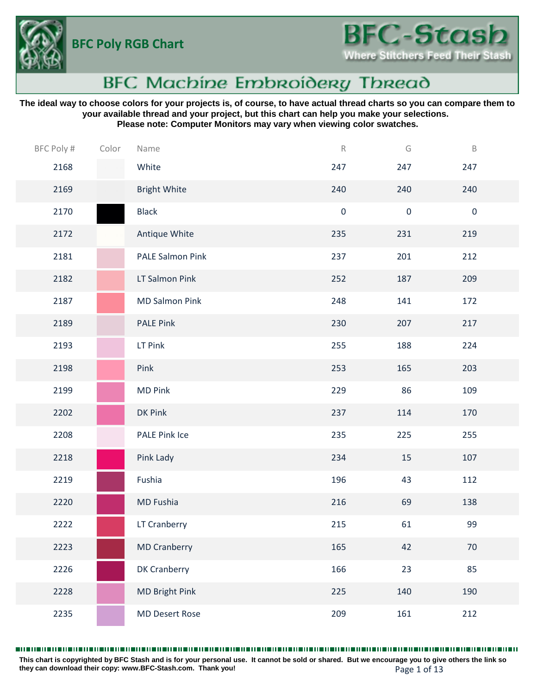**BFC Poly RGB Chart**



# **BFC Machine Embroidery Thread**

**The ideal way to choose colors for your projects is, of course, to have actual thread charts so you can compare them to your available thread and your project, but this chart can help you make your selections. Please note: Computer Monitors may vary when viewing color swatches.**

| BFC Poly # | Color | Name                    | $\mathsf R$ | G         | $\mathsf B$ |  |
|------------|-------|-------------------------|-------------|-----------|-------------|--|
| 2168       |       | White                   | 247         | 247       | 247         |  |
| 2169       |       | <b>Bright White</b>     | 240         | 240       | 240         |  |
| 2170       |       | <b>Black</b>            | $\pmb{0}$   | $\pmb{0}$ | $\pmb{0}$   |  |
| 2172       |       | Antique White           | 235         | 231       | 219         |  |
| 2181       |       | <b>PALE Salmon Pink</b> | 237         | 201       | 212         |  |
| 2182       |       | LT Salmon Pink          | 252         | 187       | 209         |  |
| 2187       |       | <b>MD Salmon Pink</b>   | 248         | 141       | 172         |  |
| 2189       |       | <b>PALE Pink</b>        | 230         | 207       | 217         |  |
| 2193       |       | LT Pink                 | 255         | 188       | 224         |  |
| 2198       |       | Pink                    | 253         | 165       | 203         |  |
| 2199       |       | <b>MD Pink</b>          | 229         | 86        | 109         |  |
| 2202       |       | DK Pink                 | 237         | 114       | 170         |  |
| 2208       |       | PALE Pink Ice           | 235         | 225       | 255         |  |
| 2218       |       | Pink Lady               | 234         | 15        | 107         |  |
| 2219       |       | Fushia                  | 196         | 43        | 112         |  |
| 2220       |       | MD Fushia               | 216         | 69        | 138         |  |
| 2222       |       | LT Cranberry            | 215         | 61        | 99          |  |
| 2223       |       | <b>MD Cranberry</b>     | 165         | 42        | 70          |  |
| 2226       |       | <b>DK Cranberry</b>     | 166         | 23        | 85          |  |
| 2228       |       | <b>MD Bright Pink</b>   | 225         | 140       | 190         |  |
| 2235       |       | <b>MD Desert Rose</b>   | 209         | 161       | 212         |  |

**This chart is copyrighted by BFC Stash and is for your personal use. It cannot be sold or shared. But we encourage you to give others the link so they can download their copy: [www.BFC-Stash.com.](www.BFC-Stash.com) Thank you!** Page 1 of 13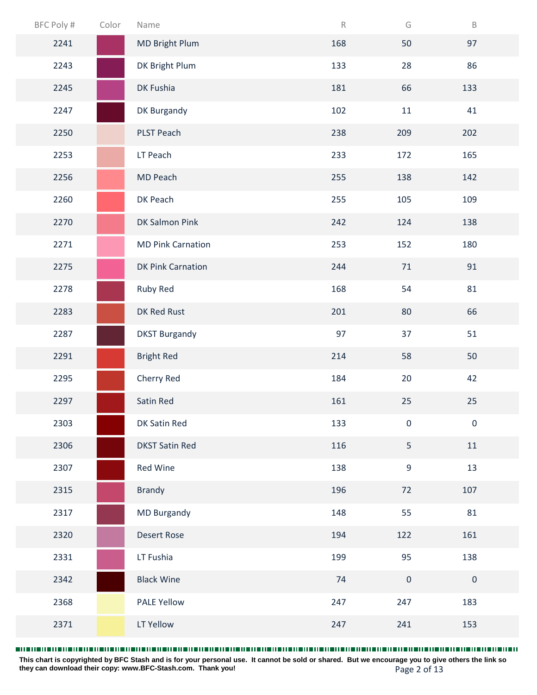| BFC Poly # | Color | Name                     | $\mathsf R$ | G                | $\mathsf B$ |  |
|------------|-------|--------------------------|-------------|------------------|-------------|--|
| 2241       |       | <b>MD Bright Plum</b>    | 168         | 50               | 97          |  |
| 2243       |       | DK Bright Plum           | 133         | 28               | 86          |  |
| 2245       |       | DK Fushia                | 181         | 66               | 133         |  |
| 2247       |       | DK Burgandy              | 102         | $11\,$           | 41          |  |
| 2250       |       | PLST Peach               | 238         | 209              | 202         |  |
| 2253       |       | LT Peach                 | 233         | 172              | 165         |  |
| 2256       |       | MD Peach                 | 255         | 138              | 142         |  |
| 2260       |       | DK Peach                 | 255         | 105              | 109         |  |
| 2270       |       | DK Salmon Pink           | 242         | 124              | 138         |  |
| 2271       |       | <b>MD Pink Carnation</b> | 253         | 152              | 180         |  |
| 2275       |       | <b>DK Pink Carnation</b> | 244         | 71               | 91          |  |
| 2278       |       | Ruby Red                 | 168         | 54               | 81          |  |
| 2283       |       | DK Red Rust              | 201         | 80               | 66          |  |
| 2287       |       | <b>DKST Burgandy</b>     | 97          | 37               | 51          |  |
| 2291       |       | <b>Bright Red</b>        | 214         | 58               | 50          |  |
| 2295       |       | Cherry Red               | 184         | 20               | 42          |  |
| 2297       |       | Satin Red                | 161         | 25               | 25          |  |
| 2303       |       | DK Satin Red             | 133         | $\pmb{0}$        | $\pmb{0}$   |  |
| 2306       |       | <b>DKST Satin Red</b>    | 116         | 5                | $11\,$      |  |
| 2307       |       | Red Wine                 | 138         | $\boldsymbol{9}$ | 13          |  |
| 2315       |       | <b>Brandy</b>            | 196         | 72               | 107         |  |
| 2317       |       | <b>MD Burgandy</b>       | 148         | 55               | 81          |  |
| 2320       |       | <b>Desert Rose</b>       | 194         | 122              | 161         |  |
| 2331       |       | LT Fushia                | 199         | 95               | 138         |  |
| 2342       |       | <b>Black Wine</b>        | 74          | $\pmb{0}$        | $\pmb{0}$   |  |
| 2368       |       | <b>PALE Yellow</b>       | 247         | 247              | 183         |  |
| 2371       |       | LT Yellow                | 247         | 241              | 153         |  |

Page 2 of 13 **This chart is copyrighted by BFC Stash and is for your personal use. It cannot be sold or shared. But we encourage you to give others the link so they can download their copy: [www.BFC-Stash.com.](www.BFC-Stash.com) Thank you!**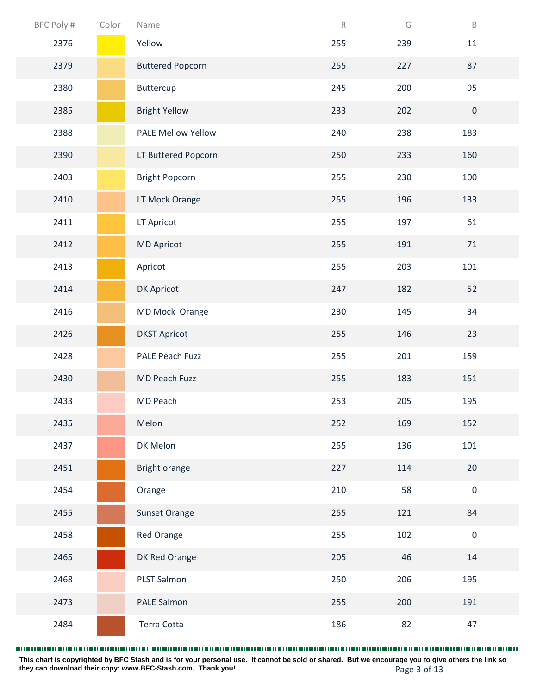| BFC Poly # | Color | Name                    | $\mathsf R$ | G   | $\mathsf B$      |
|------------|-------|-------------------------|-------------|-----|------------------|
| 2376       |       | Yellow                  | 255         | 239 | $11\,$           |
| 2379       |       | <b>Buttered Popcorn</b> | 255         | 227 | 87               |
| 2380       |       | Buttercup               | 245         | 200 | 95               |
| 2385       |       | <b>Bright Yellow</b>    | 233         | 202 | $\boldsymbol{0}$ |
| 2388       |       | PALE Mellow Yellow      | 240         | 238 | 183              |
| 2390       |       | LT Buttered Popcorn     | 250         | 233 | 160              |
| 2403       |       | <b>Bright Popcorn</b>   | 255         | 230 | 100              |
| 2410       |       | LT Mock Orange          | 255         | 196 | 133              |
| 2411       |       | LT Apricot              | 255         | 197 | 61               |
| 2412       |       | <b>MD Apricot</b>       | 255         | 191 | 71               |
| 2413       |       | Apricot                 | 255         | 203 | 101              |
| 2414       |       | DK Apricot              | 247         | 182 | 52               |
| 2416       |       | MD Mock Orange          | 230         | 145 | 34               |
| 2426       |       | <b>DKST Apricot</b>     | 255         | 146 | 23               |
| 2428       |       | PALE Peach Fuzz         | 255         | 201 | 159              |
| 2430       |       | MD Peach Fuzz           | 255         | 183 | 151              |
| 2433       |       | MD Peach                | 253         | 205 | 195              |
| 2435       |       | Melon                   | 252         | 169 | 152              |
| 2437       |       | DK Melon                | 255         | 136 | 101              |
| 2451       |       | Bright orange           | 227         | 114 | 20               |
| 2454       |       | Orange                  | 210         | 58  | $\pmb{0}$        |
| 2455       |       | <b>Sunset Orange</b>    | 255         | 121 | 84               |
| 2458       |       | Red Orange              | 255         | 102 | $\pmb{0}$        |
| 2465       |       | DK Red Orange           | 205         | 46  | 14               |
| 2468       |       | PLST Salmon             | 250         | 206 | 195              |
| 2473       |       | PALE Salmon             | 255         | 200 | 191              |
| 2484       |       | Terra Cotta             | 186         | 82  | 47               |

Page 3 of 13 **This chart is copyrighted by BFC Stash and is for your personal use. It cannot be sold or shared. But we encourage you to give others the link so they can download their copy: [www.BFC-Stash.com.](www.BFC-Stash.com) Thank you!**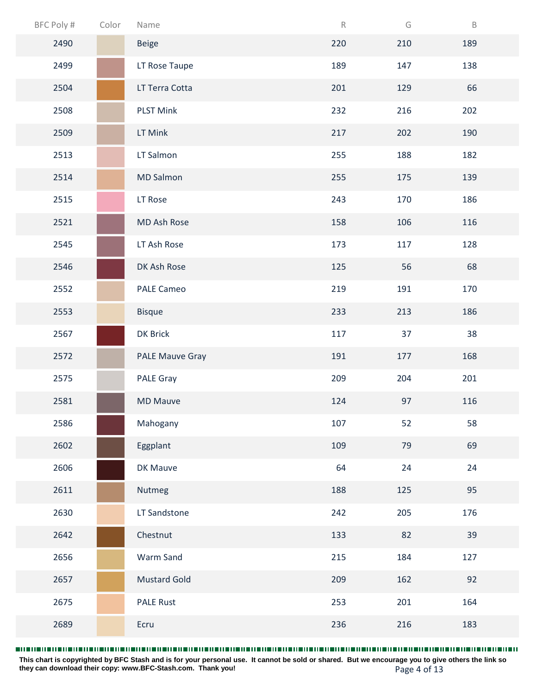| BFC Poly # | Color | Name                   | $\mathsf R$ | G   | $\mathsf B$ |  |
|------------|-------|------------------------|-------------|-----|-------------|--|
| 2490       |       | Beige                  | 220         | 210 | 189         |  |
| 2499       |       | LT Rose Taupe          | 189         | 147 | 138         |  |
| 2504       |       | LT Terra Cotta         | 201         | 129 | 66          |  |
| 2508       |       | <b>PLST Mink</b>       | 232         | 216 | 202         |  |
| 2509       |       | LT Mink                | 217         | 202 | 190         |  |
| 2513       |       | LT Salmon              | 255         | 188 | 182         |  |
| 2514       |       | <b>MD Salmon</b>       | 255         | 175 | 139         |  |
| 2515       |       | LT Rose                | 243         | 170 | 186         |  |
| 2521       |       | MD Ash Rose            | 158         | 106 | 116         |  |
| 2545       |       | LT Ash Rose            | 173         | 117 | 128         |  |
| 2546       |       | DK Ash Rose            | 125         | 56  | 68          |  |
| 2552       |       | <b>PALE Cameo</b>      | 219         | 191 | 170         |  |
| 2553       |       | <b>Bisque</b>          | 233         | 213 | 186         |  |
| 2567       |       | DK Brick               | 117         | 37  | 38          |  |
| 2572       |       | <b>PALE Mauve Gray</b> | 191         | 177 | 168         |  |
| 2575       |       | PALE Gray              | 209         | 204 | 201         |  |
| 2581       |       | <b>MD Mauve</b>        | 124         | 97  | 116         |  |
| 2586       |       | Mahogany               | 107         | 52  | 58          |  |
| 2602       |       | Eggplant               | 109         | 79  | 69          |  |
| 2606       |       | DK Mauve               | 64          | 24  | 24          |  |
| 2611       |       | Nutmeg                 | 188         | 125 | 95          |  |
| 2630       |       | LT Sandstone           | 242         | 205 | 176         |  |
| 2642       |       | Chestnut               | 133         | 82  | 39          |  |
| 2656       |       | Warm Sand              | 215         | 184 | 127         |  |
| 2657       |       | <b>Mustard Gold</b>    | 209         | 162 | 92          |  |
| 2675       |       | <b>PALE Rust</b>       | 253         | 201 | 164         |  |
| 2689       |       | Ecru                   | 236         | 216 | 183         |  |

Page 4 of 13 **This chart is copyrighted by BFC Stash and is for your personal use. It cannot be sold or shared. But we encourage you to give others the link so they can download their copy: [www.BFC-Stash.com.](www.BFC-Stash.com) Thank you!**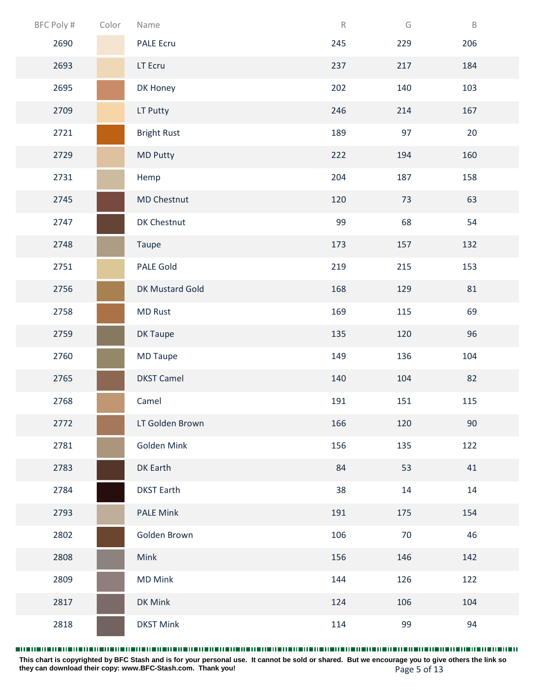| BFC Poly # | Color | Name               | $\mathsf R$ | G   | $\, {\sf B}$ |  |
|------------|-------|--------------------|-------------|-----|--------------|--|
| 2690       |       | <b>PALE Ecru</b>   | 245         | 229 | 206          |  |
| 2693       |       | LT Ecru            | 237         | 217 | 184          |  |
| 2695       |       | DK Honey           | 202         | 140 | 103          |  |
| 2709       |       | LT Putty           | 246         | 214 | 167          |  |
| 2721       |       | <b>Bright Rust</b> | 189         | 97  | 20           |  |
| 2729       |       | <b>MD Putty</b>    | 222         | 194 | 160          |  |
| 2731       |       | Hemp               | 204         | 187 | 158          |  |
| 2745       |       | <b>MD Chestnut</b> | 120         | 73  | 63           |  |
| 2747       |       | DK Chestnut        | 99          | 68  | 54           |  |
| 2748       |       | Taupe              | 173         | 157 | 132          |  |
| 2751       |       | PALE Gold          | 219         | 215 | 153          |  |
| 2756       |       | DK Mustard Gold    | 168         | 129 | 81           |  |
| 2758       |       | <b>MD Rust</b>     | 169         | 115 | 69           |  |
| 2759       |       | DK Taupe           | 135         | 120 | 96           |  |
| 2760       |       | <b>MD Taupe</b>    | 149         | 136 | 104          |  |
| 2765       |       | <b>DKST Camel</b>  | 140         | 104 | 82           |  |
| 2768       |       | Camel              | 191         | 151 | 115          |  |
| 2772       |       | LT Golden Brown    | 166         | 120 | 90           |  |
| 2781       |       | Golden Mink        | 156         | 135 | 122          |  |
| 2783       |       | DK Earth           | 84          | 53  | 41           |  |
| 2784       |       | <b>DKST Earth</b>  | 38          | 14  | 14           |  |
| 2793       |       | <b>PALE Mink</b>   | 191         | 175 | 154          |  |
| 2802       |       | Golden Brown       | 106         | 70  | 46           |  |
| 2808       |       | Mink               | 156         | 146 | 142          |  |
| 2809       |       | <b>MD Mink</b>     | 144         | 126 | 122          |  |
| 2817       |       | DK Mink            | 124         | 106 | 104          |  |
| 2818       |       | <b>DKST Mink</b>   | 114         | 99  | 94           |  |

Page 5 of 13 **This chart is copyrighted by BFC Stash and is for your personal use. It cannot be sold or shared. But we encourage you to give others the link so they can download their copy: [www.BFC-Stash.com.](www.BFC-Stash.com) Thank you!**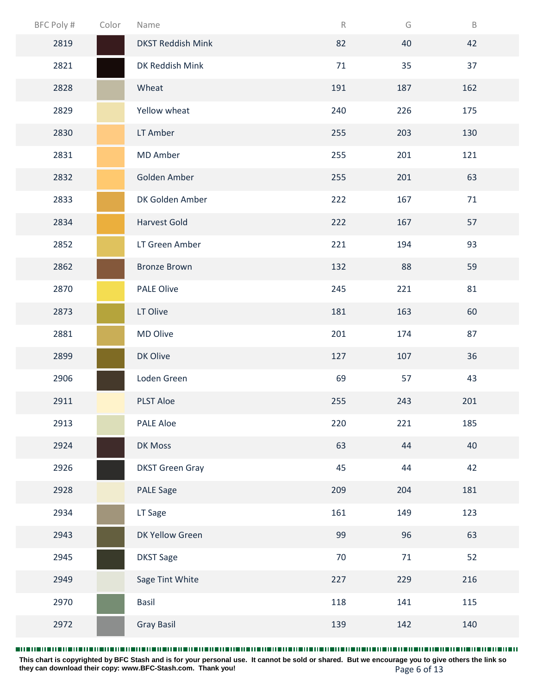| BFC Poly # | Color | Name                     | $\mathsf R$ | G   | $\mathsf B$ |
|------------|-------|--------------------------|-------------|-----|-------------|
| 2819       |       | <b>DKST Reddish Mink</b> | 82          | 40  | 42          |
| 2821       |       | DK Reddish Mink          | 71          | 35  | 37          |
| 2828       |       | Wheat                    | 191         | 187 | 162         |
| 2829       |       | Yellow wheat             | 240         | 226 | 175         |
| 2830       |       | LT Amber                 | 255         | 203 | 130         |
| 2831       |       | <b>MD Amber</b>          | 255         | 201 | 121         |
| 2832       |       | Golden Amber             | 255         | 201 | 63          |
| 2833       |       | DK Golden Amber          | 222         | 167 | 71          |
| 2834       |       | <b>Harvest Gold</b>      | 222         | 167 | 57          |
| 2852       |       | LT Green Amber           | 221         | 194 | 93          |
| 2862       |       | <b>Bronze Brown</b>      | 132         | 88  | 59          |
| 2870       |       | <b>PALE Olive</b>        | 245         | 221 | 81          |
| 2873       |       | LT Olive                 | 181         | 163 | 60          |
| 2881       |       | MD Olive                 | 201         | 174 | 87          |
| 2899       |       | DK Olive                 | 127         | 107 | 36          |
| 2906       |       | Loden Green              | 69          | 57  | 43          |
| 2911       |       | <b>PLST Aloe</b>         | 255         | 243 | 201         |
| 2913       |       | PALE Aloe                | 220         | 221 | 185         |
| 2924       |       | DK Moss                  | 63          | 44  | 40          |
| 2926       |       | <b>DKST Green Gray</b>   | 45          | 44  | 42          |
| 2928       |       | <b>PALE Sage</b>         | 209         | 204 | 181         |
| 2934       |       | LT Sage                  | 161         | 149 | 123         |
| 2943       |       | DK Yellow Green          | 99          | 96  | 63          |
| 2945       |       | <b>DKST Sage</b>         | 70          | 71  | 52          |
| 2949       |       | Sage Tint White          | 227         | 229 | 216         |
| 2970       |       | Basil                    | 118         | 141 | 115         |
| 2972       |       | <b>Gray Basil</b>        | 139         | 142 | 140         |

Page 6 of 13 **This chart is copyrighted by BFC Stash and is for your personal use. It cannot be sold or shared. But we encourage you to give others the link so they can download their copy: [www.BFC-Stash.com.](www.BFC-Stash.com) Thank you!**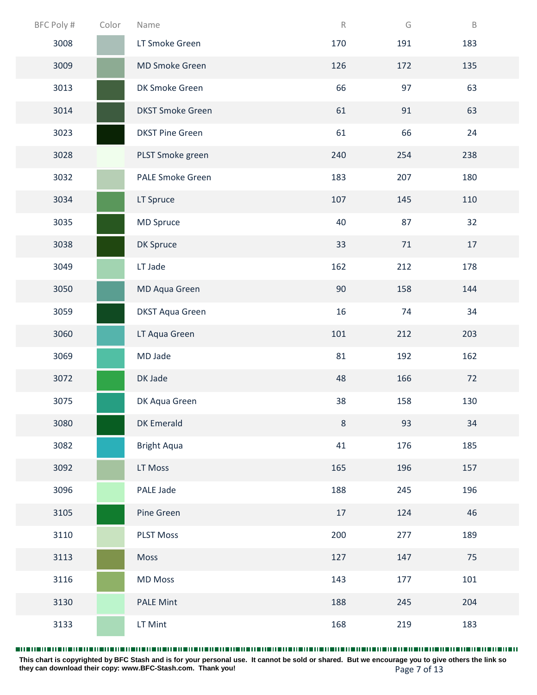| BFC Poly # | Color | Name                    | $\mathsf R$ | G      | $\mathsf B$ |
|------------|-------|-------------------------|-------------|--------|-------------|
| 3008       |       | LT Smoke Green          | 170         | 191    | 183         |
| 3009       |       | MD Smoke Green          | 126         | 172    | 135         |
| 3013       |       | DK Smoke Green          | 66          | 97     | 63          |
| 3014       |       | <b>DKST Smoke Green</b> | 61          | 91     | 63          |
| 3023       |       | <b>DKST Pine Green</b>  | 61          | 66     | 24          |
| 3028       |       | PLST Smoke green        | 240         | 254    | 238         |
| 3032       |       | <b>PALE Smoke Green</b> | 183         | 207    | 180         |
| 3034       |       | LT Spruce               | 107         | 145    | 110         |
| 3035       |       | <b>MD Spruce</b>        | 40          | 87     | 32          |
| 3038       |       | DK Spruce               | 33          | $71\,$ | $17\,$      |
| 3049       |       | LT Jade                 | 162         | 212    | 178         |
| 3050       |       | MD Aqua Green           | 90          | 158    | 144         |
| 3059       |       | <b>DKST Aqua Green</b>  | 16          | 74     | 34          |
| 3060       |       | LT Aqua Green           | 101         | 212    | 203         |
| 3069       |       | MD Jade                 | 81          | 192    | 162         |
| 3072       |       | DK Jade                 | 48          | 166    | 72          |
| 3075       |       | DK Aqua Green           | 38          | 158    | 130         |
| 3080       |       | <b>DK Emerald</b>       | $\,8\,$     | 93     | 34          |
| 3082       |       | <b>Bright Aqua</b>      | 41          | 176    | 185         |
| 3092       |       | LT Moss                 | 165         | 196    | 157         |
| 3096       |       | PALE Jade               | 188         | 245    | 196         |
| 3105       |       | Pine Green              | 17          | 124    | 46          |
| 3110       |       | <b>PLST Moss</b>        | 200         | 277    | 189         |
| 3113       |       | Moss                    | 127         | 147    | 75          |
| 3116       |       | <b>MD Moss</b>          | 143         | 177    | 101         |
| 3130       |       | <b>PALE Mint</b>        | 188         | 245    | 204         |
| 3133       |       | LT Mint                 | 168         | 219    | 183         |

Page 7 of 13 **This chart is copyrighted by BFC Stash and is for your personal use. It cannot be sold or shared. But we encourage you to give others the link so they can download their copy: [www.BFC-Stash.com.](www.BFC-Stash.com) Thank you!**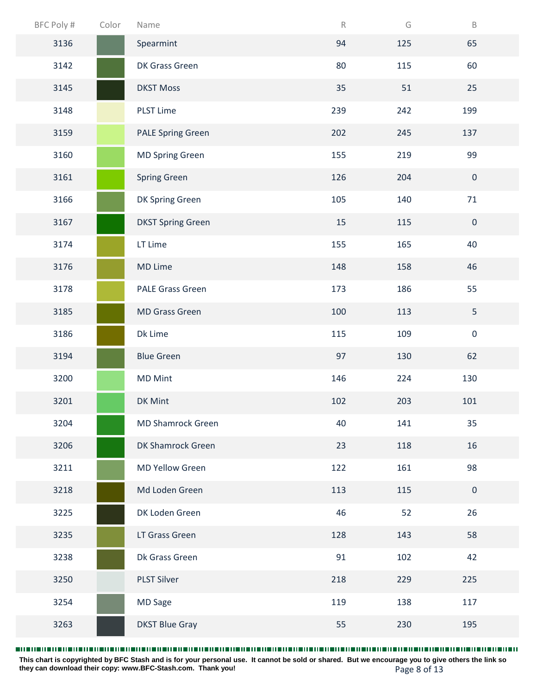| BFC Poly # | Color | Name                     | $\mathsf R$ | G   | $\mathsf B$  |  |
|------------|-------|--------------------------|-------------|-----|--------------|--|
| 3136       |       | Spearmint                | 94          | 125 | 65           |  |
| 3142       |       | DK Grass Green           | 80          | 115 | 60           |  |
| 3145       |       | <b>DKST Moss</b>         | 35          | 51  | 25           |  |
| 3148       |       | <b>PLST Lime</b>         | 239         | 242 | 199          |  |
| 3159       |       | <b>PALE Spring Green</b> | 202         | 245 | 137          |  |
| 3160       |       | <b>MD Spring Green</b>   | 155         | 219 | 99           |  |
| 3161       |       | <b>Spring Green</b>      | 126         | 204 | $\mathbf 0$  |  |
| 3166       |       | DK Spring Green          | 105         | 140 | 71           |  |
| 3167       |       | <b>DKST Spring Green</b> | 15          | 115 | $\mathbf{0}$ |  |
| 3174       |       | LT Lime                  | 155         | 165 | 40           |  |
| 3176       |       | <b>MD Lime</b>           | 148         | 158 | 46           |  |
| 3178       |       | PALE Grass Green         | 173         | 186 | 55           |  |
| 3185       |       | <b>MD Grass Green</b>    | 100         | 113 | 5            |  |
| 3186       |       | Dk Lime                  | 115         | 109 | $\pmb{0}$    |  |
| 3194       |       | <b>Blue Green</b>        | 97          | 130 | 62           |  |
| 3200       |       | <b>MD Mint</b>           | 146         | 224 | 130          |  |
| 3201       |       | DK Mint                  | 102         | 203 | 101          |  |
| 3204       |       | <b>MD Shamrock Green</b> | 40          | 141 | 35           |  |
| 3206       |       | DK Shamrock Green        | 23          | 118 | 16           |  |
| 3211       |       | <b>MD Yellow Green</b>   | 122         | 161 | 98           |  |
| 3218       |       | Md Loden Green           | 113         | 115 | $\mathbf{0}$ |  |
| 3225       |       | DK Loden Green           | 46          | 52  | 26           |  |
| 3235       |       | LT Grass Green           | 128         | 143 | 58           |  |
| 3238       |       | Dk Grass Green           | 91          | 102 | 42           |  |
| 3250       |       | <b>PLST Silver</b>       | 218         | 229 | 225          |  |
| 3254       |       | <b>MD Sage</b>           | 119         | 138 | 117          |  |
| 3263       |       | <b>DKST Blue Gray</b>    | 55          | 230 | 195          |  |

Page 8 of 13 **This chart is copyrighted by BFC Stash and is for your personal use. It cannot be sold or shared. But we encourage you to give others the link so they can download their copy: [www.BFC-Stash.com.](www.BFC-Stash.com) Thank you!**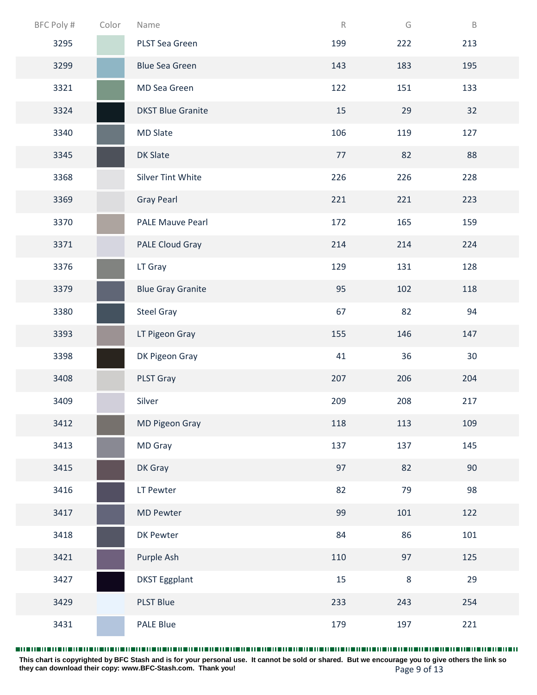| BFC Poly # | Color | Name                     | $\mathsf R$ | G      | $\mathsf B$ |
|------------|-------|--------------------------|-------------|--------|-------------|
| 3295       |       | PLST Sea Green           | 199         | 222    | 213         |
| 3299       |       | <b>Blue Sea Green</b>    | 143         | 183    | 195         |
| 3321       |       | MD Sea Green             | 122         | 151    | 133         |
| 3324       |       | <b>DKST Blue Granite</b> | 15          | 29     | 32          |
| 3340       |       | <b>MD Slate</b>          | 106         | 119    | 127         |
| 3345       |       | <b>DK Slate</b>          | 77          | 82     | 88          |
| 3368       |       | <b>Silver Tint White</b> | 226         | 226    | 228         |
| 3369       |       | <b>Gray Pearl</b>        | 221         | 221    | 223         |
| 3370       |       | <b>PALE Mauve Pearl</b>  | 172         | 165    | 159         |
| 3371       |       | <b>PALE Cloud Gray</b>   | 214         | 214    | 224         |
| 3376       |       | LT Gray                  | 129         | 131    | 128         |
| 3379       |       | <b>Blue Gray Granite</b> | 95          | 102    | 118         |
| 3380       |       | <b>Steel Gray</b>        | 67          | 82     | 94          |
| 3393       |       | LT Pigeon Gray           | 155         | 146    | 147         |
| 3398       |       | DK Pigeon Gray           | 41          | 36     | 30          |
| 3408       |       | PLST Gray                | 207         | 206    | 204         |
| 3409       |       | Silver                   | 209         | 208    | 217         |
| 3412       |       | <b>MD Pigeon Gray</b>    | 118         | 113    | 109         |
| 3413       |       | <b>MD Gray</b>           | 137         | 137    | 145         |
| 3415       |       | DK Gray                  | 97          | 82     | 90          |
| 3416       |       | LT Pewter                | 82          | 79     | 98          |
| 3417       |       | <b>MD Pewter</b>         | 99          | 101    | 122         |
| 3418       |       | DK Pewter                | 84          | 86     | 101         |
| 3421       |       | Purple Ash               | 110         | 97     | 125         |
| 3427       |       | <b>DKST Eggplant</b>     | 15          | $\, 8$ | 29          |
| 3429       |       | <b>PLST Blue</b>         | 233         | 243    | 254         |
| 3431       |       | PALE Blue                | 179         | 197    | 221         |

Page 9 of 13 **This chart is copyrighted by BFC Stash and is for your personal use. It cannot be sold or shared. But we encourage you to give others the link so they can download their copy: [www.BFC-Stash.com.](www.BFC-Stash.com) Thank you!**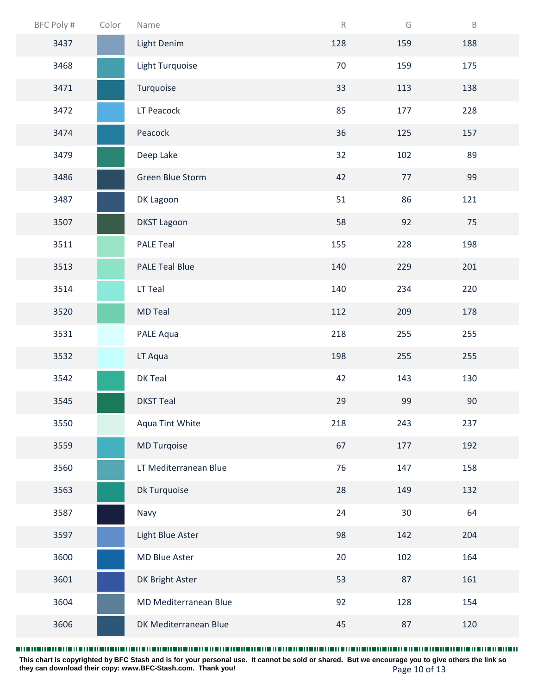| BFC Poly # | Color | Name                  | $\mathsf R$ | G   | $\mathsf B$ |
|------------|-------|-----------------------|-------------|-----|-------------|
| 3437       |       | Light Denim           | 128         | 159 | 188         |
| 3468       |       | Light Turquoise       | 70          | 159 | 175         |
| 3471       |       | Turquoise             | 33          | 113 | 138         |
| 3472       |       | LT Peacock            | 85          | 177 | 228         |
| 3474       |       | Peacock               | 36          | 125 | 157         |
| 3479       |       | Deep Lake             | 32          | 102 | 89          |
| 3486       |       | Green Blue Storm      | 42          | 77  | 99          |
| 3487       |       | DK Lagoon             | 51          | 86  | 121         |
| 3507       |       | <b>DKST Lagoon</b>    | 58          | 92  | 75          |
| 3511       |       | <b>PALE Teal</b>      | 155         | 228 | 198         |
| 3513       |       | <b>PALE Teal Blue</b> | 140         | 229 | 201         |
| 3514       |       | LT Teal               | 140         | 234 | 220         |
| 3520       |       | <b>MD Teal</b>        | 112         | 209 | 178         |
| 3531       |       | PALE Aqua             | 218         | 255 | 255         |
| 3532       |       | LT Aqua               | 198         | 255 | 255         |
| 3542       |       | DK Teal               | 42          | 143 | 130         |
| 3545       |       | <b>DKST Teal</b>      | 29          | 99  | 90          |
| 3550       |       | Aqua Tint White       | 218         | 243 | 237         |
| 3559       |       | <b>MD Turqoise</b>    | 67          | 177 | 192         |
| 3560       |       | LT Mediterranean Blue | 76          | 147 | 158         |
| 3563       |       | Dk Turquoise          | 28          | 149 | 132         |
| 3587       |       | Navy                  | 24          | 30  | 64          |
| 3597       |       | Light Blue Aster      | 98          | 142 | 204         |
| 3600       |       | MD Blue Aster         | 20          | 102 | 164         |
| 3601       |       | DK Bright Aster       | 53          | 87  | 161         |
| 3604       |       | MD Mediterranean Blue | 92          | 128 | 154         |
| 3606       |       | DK Mediterranean Blue | 45          | 87  | 120         |

Page 10 of 13 **This chart is copyrighted by BFC Stash and is for your personal use. It cannot be sold or shared. But we encourage you to give others the link so they can download their copy: [www.BFC-Stash.com.](www.BFC-Stash.com) Thank you!**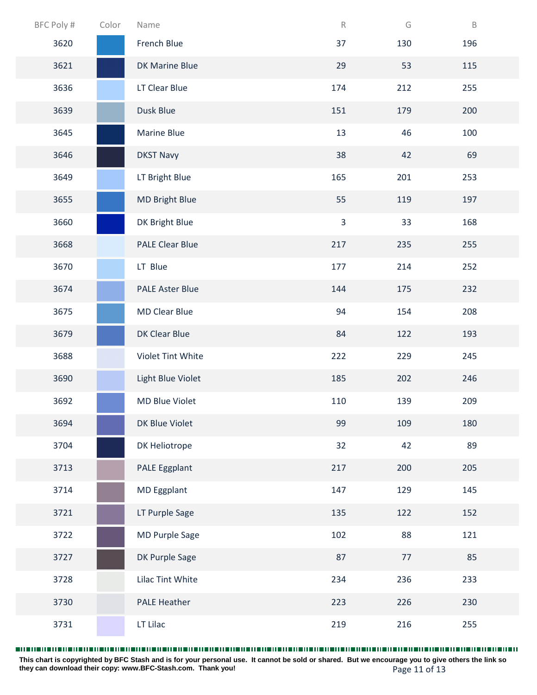| BFC Poly # | Color | Name                   | ${\sf R}$      | G    | $\mathsf B$ |
|------------|-------|------------------------|----------------|------|-------------|
| 3620       |       | French Blue            | 37             | 130  | 196         |
| 3621       |       | <b>DK Marine Blue</b>  | 29             | 53   | 115         |
| 3636       |       | LT Clear Blue          | 174            | 212  | 255         |
| 3639       |       | Dusk Blue              | 151            | 179  | 200         |
| 3645       |       | <b>Marine Blue</b>     | 13             | 46   | 100         |
| 3646       |       | <b>DKST Navy</b>       | 38             | 42   | 69          |
| 3649       |       | LT Bright Blue         | 165            | 201  | 253         |
| 3655       |       | <b>MD Bright Blue</b>  | 55             | 119  | 197         |
| 3660       |       | DK Bright Blue         | $\overline{3}$ | 33   | 168         |
| 3668       |       | <b>PALE Clear Blue</b> | 217            | 235  | 255         |
| 3670       |       | LT Blue                | 177            | 214  | 252         |
| 3674       |       | <b>PALE Aster Blue</b> | 144            | 175  | 232         |
| 3675       |       | <b>MD Clear Blue</b>   | 94             | 154  | 208         |
| 3679       |       | DK Clear Blue          | 84             | 122  | 193         |
| 3688       |       | Violet Tint White      | 222            | 229  | 245         |
| 3690       |       | Light Blue Violet      | 185            | 202  | 246         |
| 3692       |       | <b>MD Blue Violet</b>  | 110            | 139  | 209         |
| 3694       |       | DK Blue Violet         | 99             | 109  | 180         |
| 3704       |       | DK Heliotrope          | 32             | 42   | 89          |
| 3713       |       | PALE Eggplant          | 217            | 200  | 205         |
| 3714       |       | MD Eggplant            | 147            | 129  | 145         |
| 3721       |       | LT Purple Sage         | 135            | 122  | 152         |
| 3722       |       | <b>MD Purple Sage</b>  | 102            | 88   | 121         |
| 3727       |       | DK Purple Sage         | 87             | $77$ | 85          |
| 3728       |       | Lilac Tint White       | 234            | 236  | 233         |
| 3730       |       | <b>PALE Heather</b>    | 223            | 226  | 230         |
| 3731       |       | LT Lilac               | 219            | 216  | 255         |

Page 11 of 13 **This chart is copyrighted by BFC Stash and is for your personal use. It cannot be sold or shared. But we encourage you to give others the link so they can download their copy: [www.BFC-Stash.com.](www.BFC-Stash.com) Thank you!**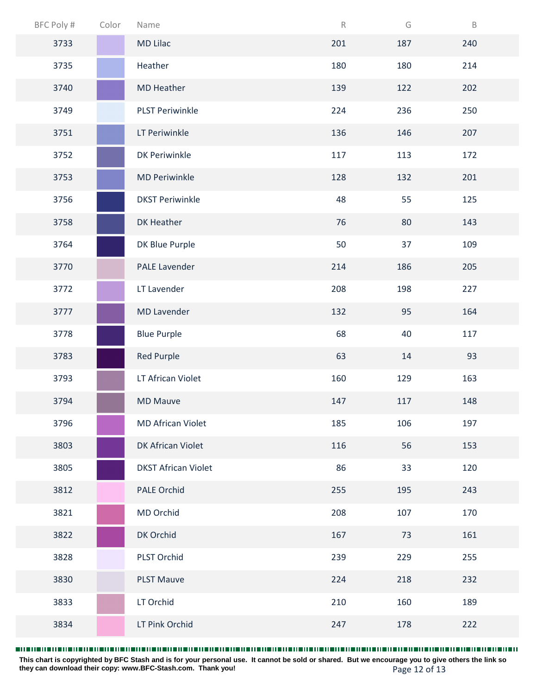| BFC Poly # | Color | Name                       | $\mathsf R$ | G   | $\mathsf B$ |
|------------|-------|----------------------------|-------------|-----|-------------|
| 3733       |       | <b>MD Lilac</b>            | 201         | 187 | 240         |
| 3735       |       | Heather                    | 180         | 180 | 214         |
| 3740       |       | <b>MD Heather</b>          | 139         | 122 | 202         |
| 3749       |       | <b>PLST Periwinkle</b>     | 224         | 236 | 250         |
| 3751       |       | LT Periwinkle              | 136         | 146 | 207         |
| 3752       |       | <b>DK Periwinkle</b>       | 117         | 113 | 172         |
| 3753       |       | <b>MD Periwinkle</b>       | 128         | 132 | 201         |
| 3756       |       | <b>DKST Periwinkle</b>     | 48          | 55  | 125         |
| 3758       |       | DK Heather                 | 76          | 80  | 143         |
| 3764       |       | DK Blue Purple             | 50          | 37  | 109         |
| 3770       |       | <b>PALE Lavender</b>       | 214         | 186 | 205         |
| 3772       |       | LT Lavender                | 208         | 198 | 227         |
| 3777       |       | <b>MD Lavender</b>         | 132         | 95  | 164         |
| 3778       |       | <b>Blue Purple</b>         | 68          | 40  | 117         |
| 3783       |       | <b>Red Purple</b>          | 63          | 14  | 93          |
| 3793       |       | LT African Violet          | 160         | 129 | 163         |
| 3794       |       | <b>MD Mauve</b>            | 147         | 117 | 148         |
| 3796       |       | <b>MD African Violet</b>   | 185         | 106 | 197         |
| 3803       |       | DK African Violet          | 116         | 56  | 153         |
| 3805       |       | <b>DKST African Violet</b> | 86          | 33  | 120         |
| 3812       |       | PALE Orchid                | 255         | 195 | 243         |
| 3821       |       | MD Orchid                  | 208         | 107 | 170         |
| 3822       |       | DK Orchid                  | 167         | 73  | 161         |
| 3828       |       | PLST Orchid                | 239         | 229 | 255         |
| 3830       |       | <b>PLST Mauve</b>          | 224         | 218 | 232         |
| 3833       |       | LT Orchid                  | 210         | 160 | 189         |
| 3834       |       | LT Pink Orchid             | 247         | 178 | 222         |

Page 12 of 13 **This chart is copyrighted by BFC Stash and is for your personal use. It cannot be sold or shared. But we encourage you to give others the link so they can download their copy: [www.BFC-Stash.com.](www.BFC-Stash.com) Thank you!**